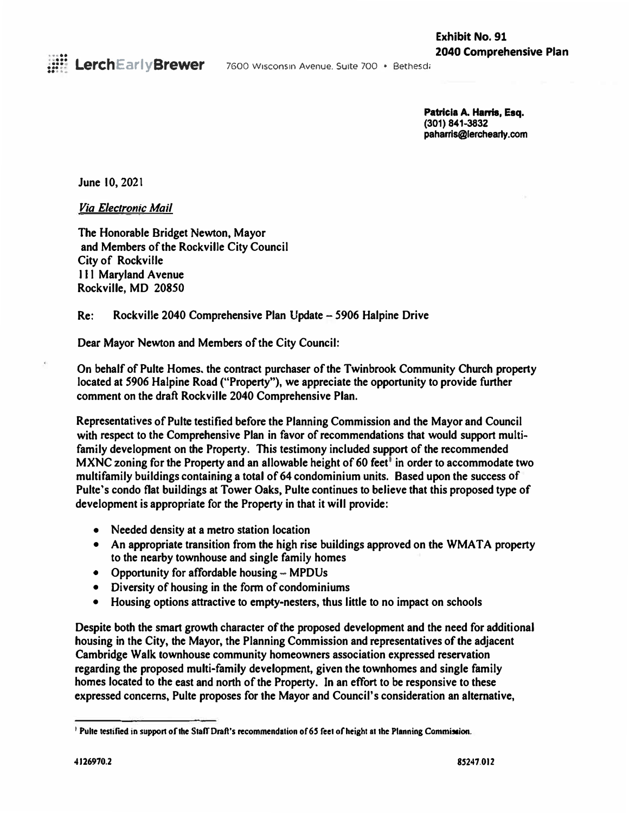

7600 Wisconsin Avenue. Suite 700 • Bethesda

**Patricia A. Harris, Esq. (301) 841-3832 paharris@lerchearly.com**

**June 10, 2021** 

*Via Electronic Mail* 

**The Honorable Bridget Newton, Mayor and Members of the Rockville City Council City of Rockville 111 Maryland A venue Rockville, MD 20850** 

**Re: Rockville 2040 Comprehensive Plan Update - 5906 Halpine Drive** 

**Dear Mayor Newton and Members of the City Council:** 

**On behalf of Pulte Homes, the contract purchaser of the Twinbrook Community Church property located at 5906 Halpine Road ("Property"), we appreciate the opportunity to provide further comment on the draft Rockville 2040 Comprehensive Plan.** 

**Representatives of Pulte testified before the Planning Commission and the Mayor and Council with respect to the Comprehensive Plan in favor of recommendations that would support multifamily development on the Property. This testimony included support of the recommended MXNC zoning for the Property and an allowable height of 60 feet• in order to accommodate two multifamily buildings containing a total of 64 condominium units. Based upon the success of Pultc's condo flat buildings at Tower Oaks, Pulte continues to believe that this proposed type of development is appropriate for the Property in that it will provide:** 

- **• Needed density at a metro station location**
- **• An appropriate transition from the high rise buildings approved on the WMA TA property to the nearby townhouse and single family homes**
- **• Opportunity for affordable housing - MPDUs**
- **• Diversity of housing in the form of condominiums**
- **• Housing options attractive to empty-nesters, thus little to no impact on schools**

**Despite both the smart growth character of the proposed development and the need for additional housing in the City, the Mayor, the Planning Commission and representatives of the adjacent Cambridge Walk townhouse community homeowners association expressed reservation regarding the proposed multi-family development, given the townhomes and single family homes located to the east and north of the Property. In an effort to be responsive to these expressed concerns, Pulte proposes for the Mayor and Council's consideration an alternative,** 

<sup>&</sup>lt;sup>1</sup> Pulte testified in support of the Staff Draft's recommendation of 65 feet of height at the Planning Commission.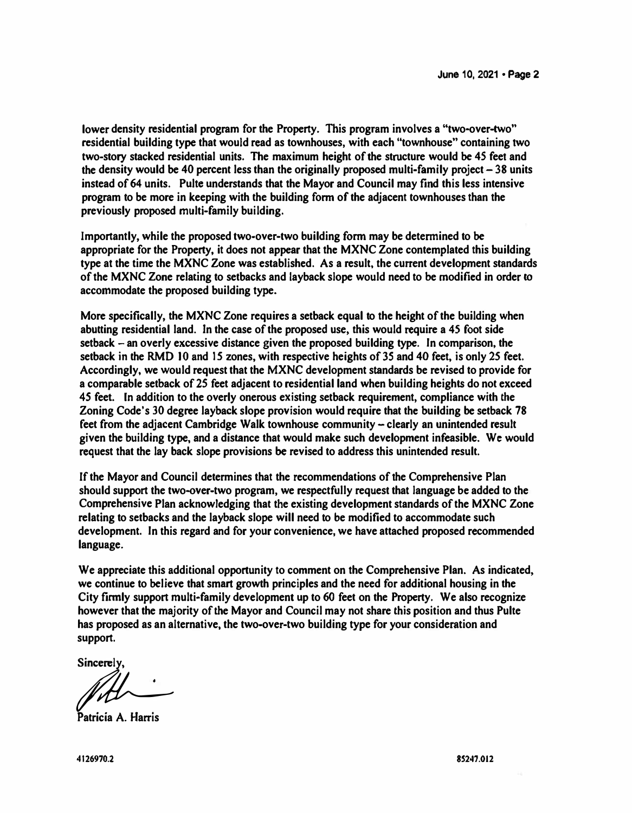**lower density residential program for the Property. This program involves a "two-over-two" residential building type that would read as townhouses, with each "townhouse" containing two two-story stacked residential units. The maximum height of the structure would be 45 feet and the density would be 40 percent less than the originally proposed multi-family project- 38 units instead of 64 units. Pulte understands that the Mayor and Council may find this less intensive program to be more in keeping with the building form of the adjacent townhouses than the previously proposed multi-family building.** 

**Importantly, while the proposed two-over-two building form may be detennined to be appropriate for the Property, it does not appear that the MXNC Zone contemplated this building type at the time the MXNC Zone was established. As a result. the current development standards of the MXNC Zone relating to setbacks and layback slope would need to be modified in order** *to* **accommodate the proposed building type.** 

**More specifically, the MXNC Zone requires a setback equal to the height of the building when abutting residential land. In the case of the proposed use, this would require a** *45* **foot side setback - an overly excessive distance given the proposed building type. In comparison, the setback in the RMD JO and 15 zones, with respective heights of 35 and 40 feet, is only** *25* **feet. Accordingly, we would request that the MXNC development standards be revised to provide for a comparable setback of 25 feet adjacent to residential land when building heights do not exceed**  *4S* **feet. In addition to the overly onerous existing setback requirement, compliance with the Zoning Code's 30 degree layback slope provision would require that the building be setback 78**  feet from the adjacent Cambridge Walk townhouse community – clearly an unintended result **given the building type, and a distance that would make such development infeasible. We would request that the lay back slope provisions be revised to address this unintended result.** 

**If the Mayor and Council determines that the recommendations of the Comprehensive Plan should support the two-over-two program, we respectfully request that language be added to the Comprehensive Plan acknowledging that the existing development standards of the MXNC Zone relating to setbacks and the layback slope will need to be modified to accommodate such development. In this regard and for your convenience, we have attached proposed recommended language.** 

**We appreciate this additional opportunity to comment on the Comprehensive Plan. As indicated, we continue to believe that smart growth principles and the need for additional housing in the City finnly support multi-family development up to 60 feet on the Property. We also recognize however that the majority of the Mayor and Council may not share this position and thus Pulte has proposed as an alternative, the two-over-two building type for your consideration and support.** 

Sincerely.

� **Patricia A. Harris**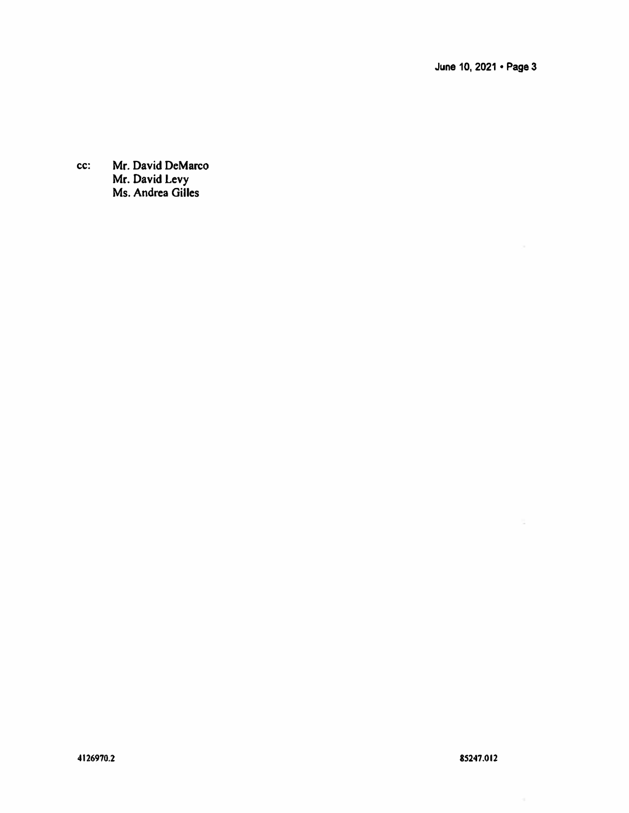**June 10, 2021 • Page 3** 

**cc: Mr. David DeMarco Mr. David Levy Ms. Andrea Gilles** 

۰.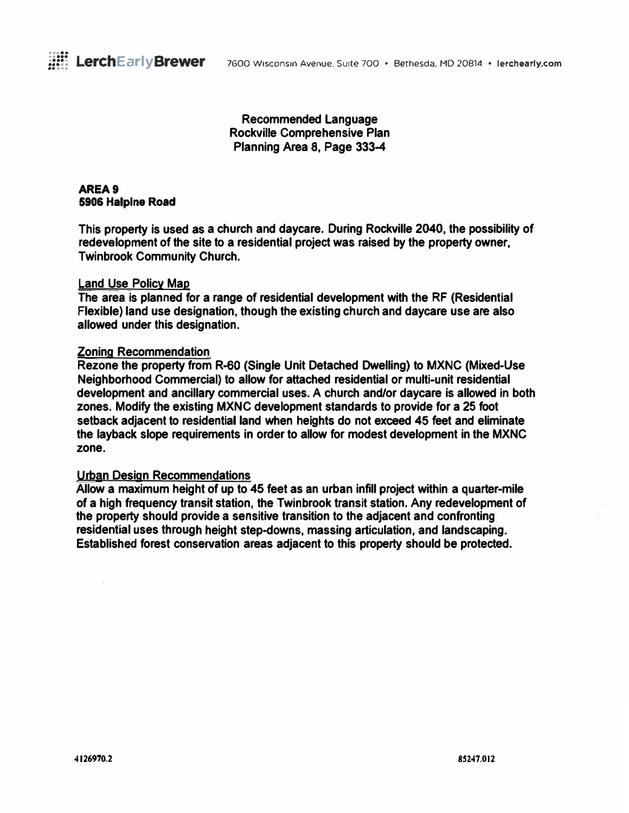

**Recommended Language Rockville Comprehensive Plan Planning Area 8, Page 333-4** 

**AREA9 5906 Halplne Road** 

**This property is used as a church and daycare. During Rockville 2040, the possibility of redevelopment of the site to a residential project was raised by the property owner, Twinbrook Community Church.** 

### **Land Use Policy Map**

**The area is planned for a range of residential development with the RF (Residential Flexible) land use designation, though the existing church and daycare use are also allowed under this designation.** 

### **Zoning Recommendation**

**Rezone the property from R-60 (Single Unit Detached Dwelling) to MXNC (Mixed-Use Neighborhood Commercial) to allow for attached residential or multi-unit residential development and ancillary commercial uses. A church and/or daycare is allowed in both zones. Modify the existing MXNC development standards to provide for a 25 foot setback adjacent to residential land when heights do not exceed 45 feet and eliminate the layback slope requirements in order to allow for modest development in the MXNC zone.** 

### **Urban Design Recommendations**

**Allow a maximum height of up to 45 feet as an urban infill project within a quarter-mile of a high frequency transit station, the Twinbrook transit station. Any redevelopment of the property should provide a sensitive transition to the adjacent and confronting residential uses through height step-downs, massing articulation, and landscaping. Established forest conservation areas adjacent to this property should be protected.**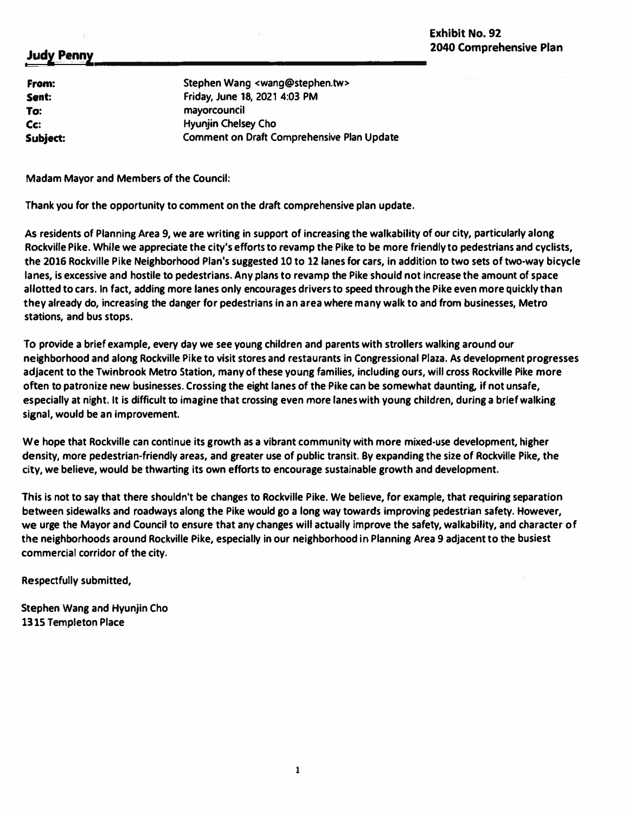**From: Sent: To: Cc: Subject:** 

**Stephen Wang <wang@stephen.tw> Friday, June 18, 2021 4:03 PM mayorcouncil Hyunjin Chelsey Cho Comment on Draft Comprehensive Plan Update** 

**Madam Mayor and Members of the Council:** 

**Thank you for the opportunity to comment on the draft comprehensive plan update.** 

**As residents of Planning Area 9, we are writing in support of increasing the walkability of our city, particularly along Rockville Pike. While we appreciate the city's efforts to revamp the Pike to be more friendly to pedestrians and cyclists, the 2016 Rockville Pike Neighborhood Plan's suggested 10 to 12 lanes for cars, in addition to two sets of two-way bicycle lanes, is excessive and hostile to pedestrians. Any plans to revamp the Pike should not increase the amount of space allotted to cars. In fact, adding more lanes only encourages drivers to speed through the Pike even more quickly than they already do, increasing the danger for pedestrians in an area where many walk to and from businesses, Metro stations, and bus stops.** 

**To provide a brief example, every day we see young children and parents with strollers walking around our neighborhood and along Rockville Pike to visit stores and restaurants in Congressional Plaza. As development progresses adjacent to the Twinbrook Metro Station, many of these young families, including ours, will cross Rockville Pike more often to patronize new businesses. Crossing the eight lanes of the Pike can be somewhat daunting, if not unsafe, especially at night. It is difficult to imagine that crossing even more lanes with young children, during a brief walking signal, would be an improvement.** 

**We hope that Rockville can continue its growth as a vibrant community with more mixed-use development, higher density, more pedestrian-friendly areas, and greater use of public transit. By expanding the size of Rockville Pike, the city, we believe, would be thwarting its own efforts to encourage sustainable growth and development.** 

**This is not to say that there shouldn't be changes to Rockville Pike. We believe, for example, that requiring separation between sidewalks and roadways along the Pike would go a long way towards improving pedestrian safety. However, we urge the Mayor and Council to ensure that any changes will actually improve the safety, walkability, and character of the neighborhoods around Rockville Pike, especially in our neighborhood in Planning Area 9 adjacent to the busiest commercial corridor of the city.** 

**Respectfully submitted,** 

**Stephen Wang and Hyunjin Cho 1315 Templeton Place**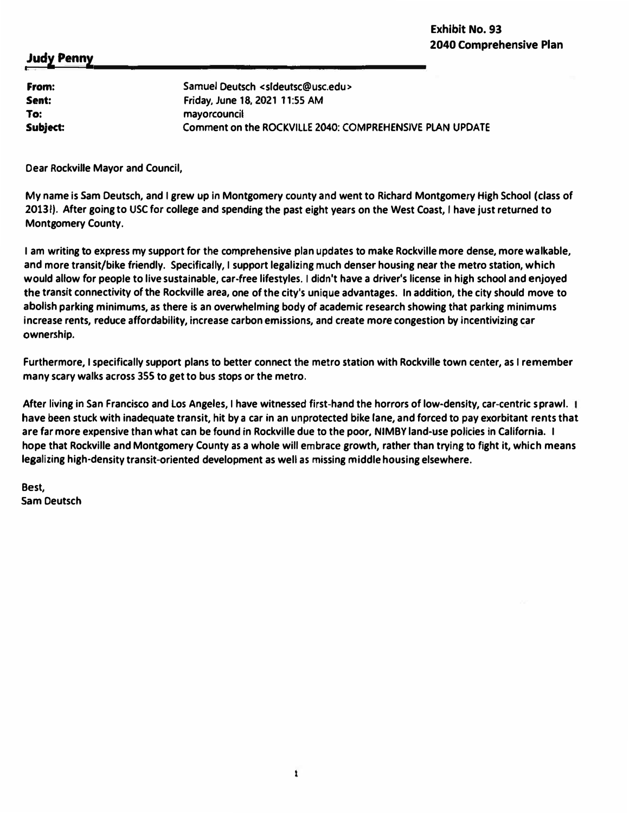| From:    | Samuel Deutsch <sideutsc@usc.edu></sideutsc@usc.edu>     |
|----------|----------------------------------------------------------|
| Sent:    | Friday, June 18, 2021 11:55 AM                           |
| To:      | mayorcouncil                                             |
| Subject: | Comment on the ROCKVILLE 2040: COMPREHENSIVE PLAN UPDATE |

**Dear Rockville Mayor and Council,** 

**My name is Sam Deutsch, and I grew up in Montgomery county and went to Richard Montgomery High School (class of 20131). After going to USC for college and spending the past eight years on the West Coast, I have just returned to Montgomery County.** 

**I am writing to express my support for the comprehensive plan updates to make Rockville more dense, more walkable, and more transit/bike friendly. Specifically, I support legalizing much denser housing near the metro station, which would allow for people to live sustainable, car-free lifestyles. I didn't have a driver's license in high school and enjoyed the transit connectivity of the Rockville area, one of the city's unique advantages. In addition, the city should move to abolish parking minimums, as there is an overwhelming body of academic research showing that parking minimums increase rents, reduce affordability, increase carbon emissions, and create more congestion by incentivizing car ownership.** 

**Furthermore, I specifically support plans to better connect the metro station with Rockville town center, as I remember many scary walks across 355 to get to bus stops or the metro.** 

**After living in San Francisco and Los Angeles, I have witnessed first-hand the horrors of low-density, car-centric sprawl. have been stuck with inadequate transit, hit by a car in an unprotected bike lane, and forced to pay exorbitant rents that are far more expensive than what can be found in Rockville due to the poor, NIMBY land-use policies in California. I hope that Rockville and Montgomery County as a whole will embrace growth, rather than trying to fight it, which means legalizing high-density transit-oriented development as well as missing middle housing elsewhere.** 

**Best, Sam Deutsch**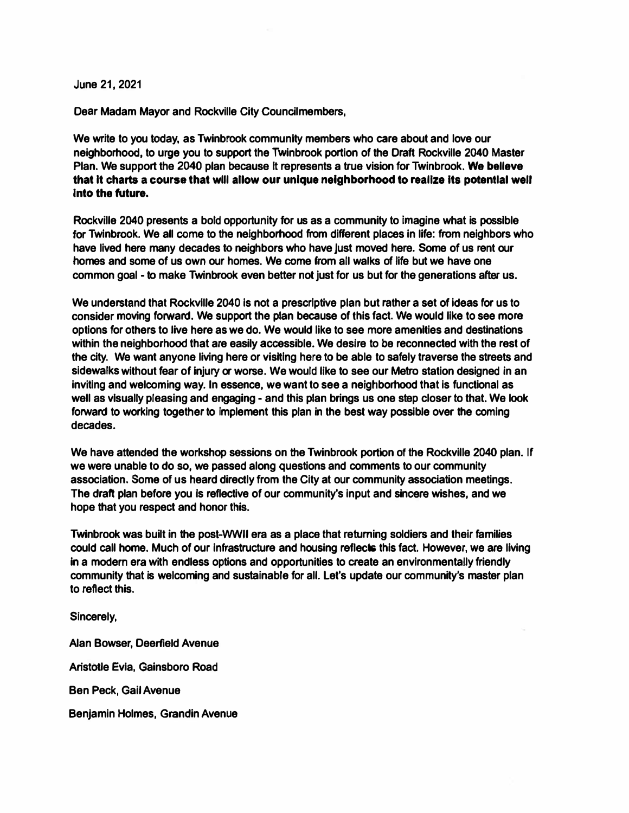**June 21, 2021** 

**Dear Madam Mayor and Rockville City Councilmembers,** 

**We write to you today, as Twinbrook community members who care about and love our neighborhood, to urge you to support the Twinbrook portion of the Draft Rockville 2040 Master Plan. We support the 2040 plan because It represents a true vision for Twinbrook. Wa ballave that It charts a course that wlll allow our unique neighborhood to realize Its potantlal well Into the future.** 

**Rockville 2040 presents a bold opportunity for us as a community to imagine what is possible for Twinbrook. We all come to the neighborhood from different places in life: from neighbors who have lived here many decades to neighbors who have just moved here. Some of us rent our homes and some of us own our homes. We come from all walks of life but we have one common goal - to make Twinbrook even better not just for us but for the generations after us.** 

**We understand that Rockvllle 2040 is not a prescriptive plan but rather a set of Ideas for us to consider moving forward. We support the plan because of this fact. We would like to see more options for others to live here as we do. We would like to see more amenities and destinations within the neighborhood that are easily accessible. We desire to be reconnected with the rest of the city. We want anyone living here or visiting here to be able to safely traverse the streets and sidewalks without fear of Injury or worse. We would like to see our Metro station designed in an inviting and welcoming way. In essence, we want to see a neighborhood that is functional as well as visually pleasing and engaging - and this plan brings us one step closer to that. We look**  forward to working together to implement this plan in the best way possible over the coming **decades.** 

**We have attended the workshop sessions on the Twinbrook portion of the Rockville 2040 plan. If we were unable to do so, we passed along questions and comments to our community association. Some of us heard directly from the City at our community association meetings.**  The draft plan before you is reflective of our community's input and sincere wishes, and we **hope that you respect and honor this.** 

**Twinbrook was built in the post-WWII era as a place that returning soldiers and their families could call home. Much of our infrastructure and housing reflects this fact. However, we are living in a modem era with endless options and opportunities to create an environmentally friendly community that is welcoming and sustainable for all. Let's update our community's master plan to reflect this.** 

**Sincerely,** 

**Alan Bowser, Deerfield Avenue Aristotle Evia, Gainsboro Road Ben Peck, Gail Avenue Benjamin Holmes, Grandin Avenue**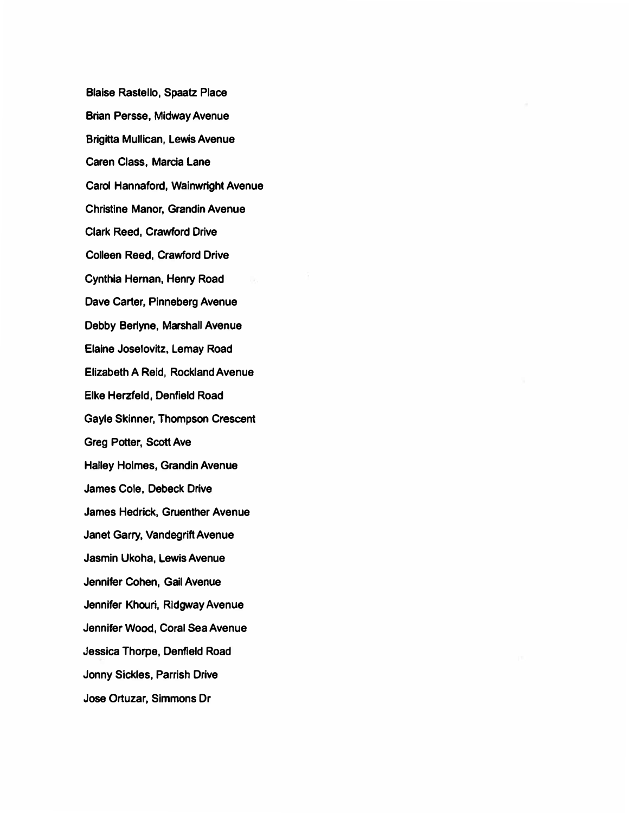**Blaise Rastello, Spaatz Place Brian Persse, Midway Avenue Brigitta Mullican, Lewis Avenue Caren Class, Marcia Lane Carol Hannaford, Wainwright Avenue Christine Manor, Grandin Avenue Clark Reed, Crawford Drive Colleen Reed, Crawford Drive Cynthia Heman, Henry Road Dave Carter, Pinneberg Avenue Debby Berlyne, Marshall Avenue Elaine Joselovitz, Lemay Road Elizabeth A Reid, Rockland Avenue Elke Herzfeld, Danfield Road Gayle Skinner, Thompson Crescent Greg Potter, Scott Ave Halley Holmes, Grandin Avenue James Cole, Deback Drive James Hedrick, Gruenther Avenue Janet Garry, Vandegrift Avenue Jasmin Ukoha, Lewis Avenue Jennifer Cohen, Gail Avenue Jennifer Khouri, Ridgway Avenue Jennifer Wood, Coral Sea Avenue Jessica Thorpe, Denfield Road Jonny Sickles, Parrish Drive Jose Ortuzar, Simmons Dr**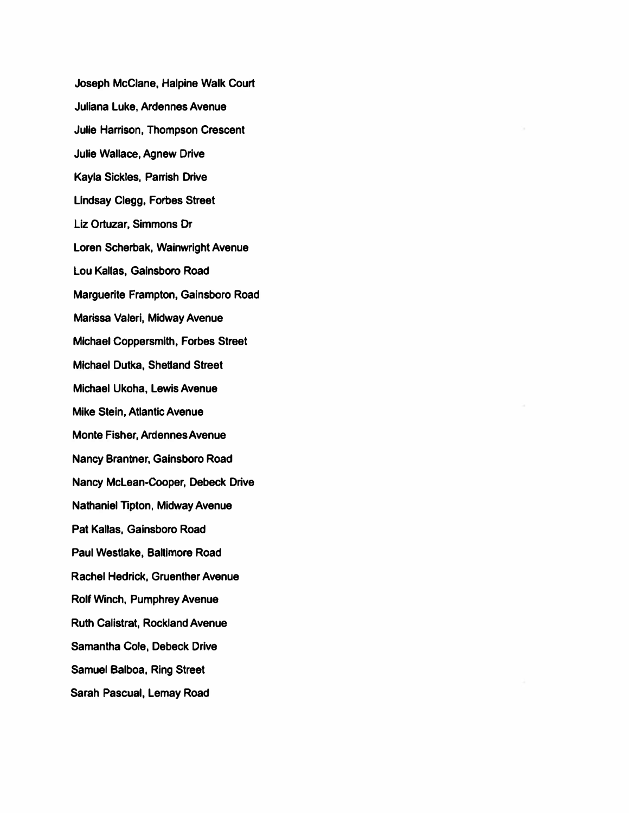**Joseph McClane, Halpine Walk Court Juliana Luke, Ardennes Avenue Julie Harrison, Thompson Crescent Julie Wallace, Agnew Drive Kayla Sickles, Parrish Drive Lindsay Clegg, Forbes Street Liz Ortuzar, Simmons Or Loren Scherbak, Wainwright Avenue Lou Kallas, Gainsboro Road Marguerite Frampton, Galnsboro Road Marissa Valeri, Midway Avenue Michael Coppersmith, Forbes Street Michael Dutka, Shetland Street Michael Ukoha, Lewis Avenue Mike Stein, Atlantic Avenue Monte Fisher, Ardennes Avenue Nancy Brantner, Galnsboro Road Nancy McLean.cooper, Debeck Drive Nathaniel Tipton, Midway Avenue Pat Kallas, Gainsboro Road Paul Westlake, Baltimore Road Rachel Hedrick, Gruenther Avenue Rolf Winch, Pumphrey Avenue Ruth Calistrat, Rockland Avenue Samantha Cole, Debeck Drive Samuel Balboa, Ring Street Sarah Pascual, Lemay Road**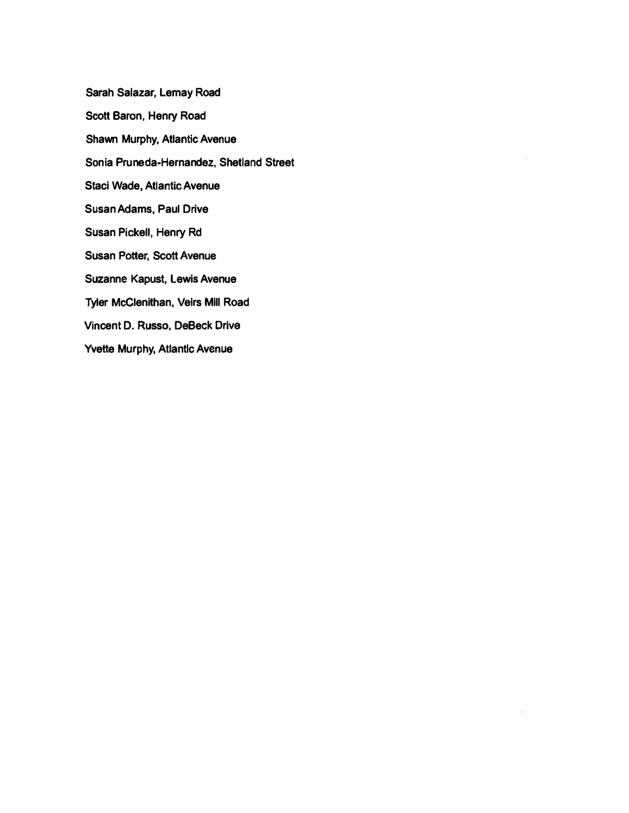**Sarah Salazar, Lemay Road Scott Baron, Henry Road Shawn Murphy, Atlantic Avenue Sonia Pruneda-Hernandez, Shetland Street Staci Wade, Atlantic Avenue Susan Adams, Paul Drive Susan Pickell, Henry Rd Susan Potter, Scott Avenue Suzanne Kapust, Lewis Avenue Tyler McClenithan, Velrs MIii Road Vincent D. Russo, DeBeck Drive Yvette Murphy, Atlantlc Avenue**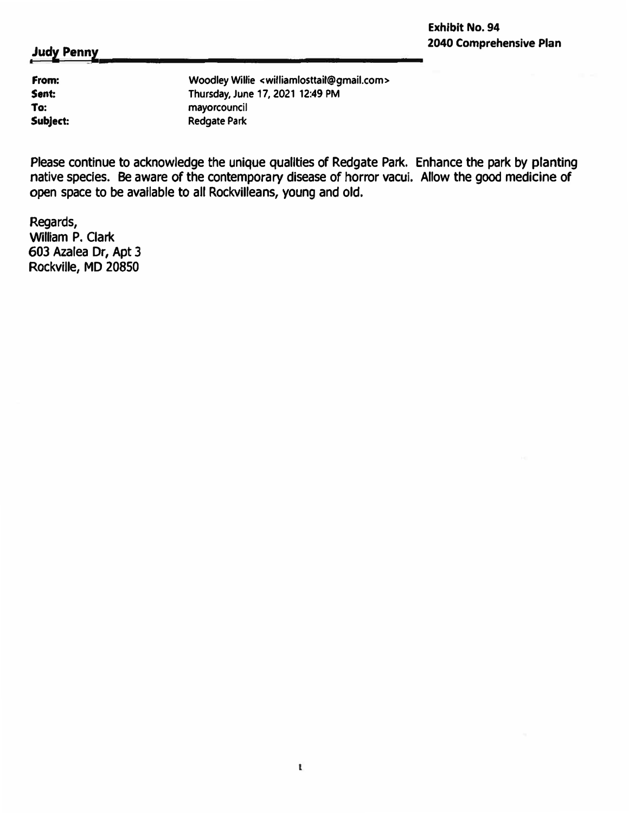**From: Sent: To: Subject:**  **Woodley Willie <williamlosttail@gmail.com> Thursday, June 17, 2021 12:49 PM mayorcouncil Redgate Park** 

**Please continue to acknowledge the unique qualities of Redgate Park. Enhance the park by planting native species. Be aware of the contemporary disease of horror vacui. Allow the good medicine of open space to be available to all Rockvilleans, young and old.** 

**Regards, William P. Clark 603 Azalea Dr, Apt** *3* **Rockville, MD 20850**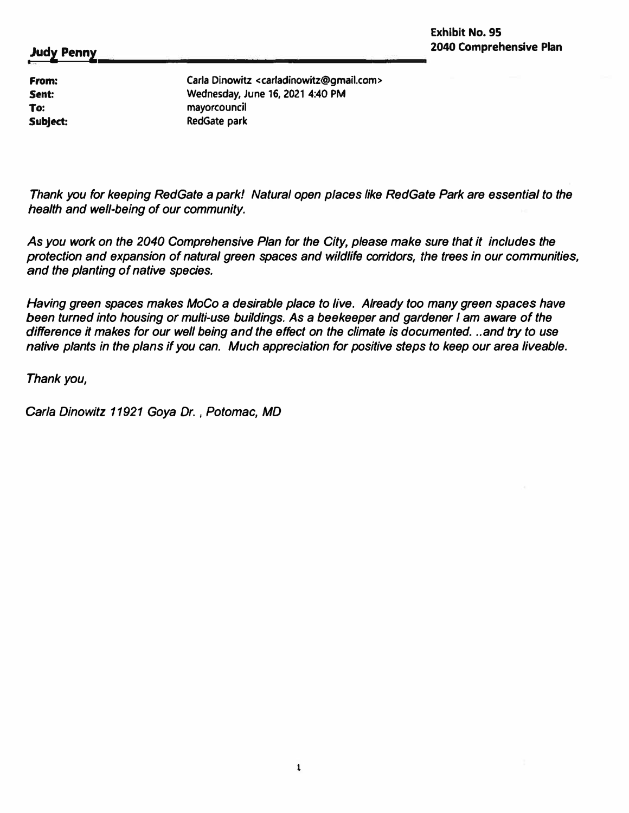**From: Sent: To: Subject:**  **Carla Dinowitz <carladinowitz@gmail.com> Wednesday, June 16, 2021 4:40 PM mayorcouncil RedGate park** 

*Thank you for keeping RedGate a park! Natural open places like RedGate Park are essential to the health and well•being of our community.* 

*As you work on the 2040 Comprehensive Plan for the City, please make sure that it includes the protection and expansion of natural green spaces and wildlife corridors, the trees in our communities, and the planting of native species.* 

*Having green spaces makes MoCo a desirable place to live. Already too many green spaces have been turned into housing or mufti.use buildings. As a beekeeper and gardener I am aware of the difference it makes for our well being and the effect on the climate is documented ... and try to use native plants in the plans if you can. Much appreciation for positive steps to keep our area liveable.* 

*Thank you,* 

*Carla Dinowitz 11921 Goya Dr., Potomac, MD*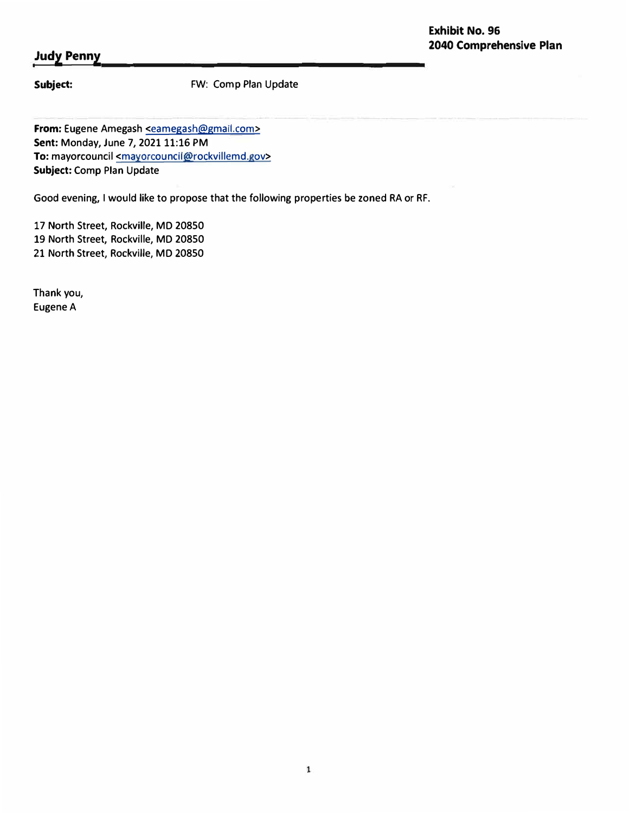**Subject:** FW: Comp Plan Update

**From:** Eugene Amegash <eamegash@gmail.com> **Sent: Monday, June 7, 2021 11:16 PM** To: mayorcouncil <mayorcouncil@rockvillemd.gov> **Subject:** Comp Plan Update

Good evening, I would like to propose that the following properties be zoned RA or RF.

17 North Street, Rockville, MD 20850 19 North Street, Rockville, MD 20850 21 North Street, Rockville, MD 20850

Thank you, Eugene A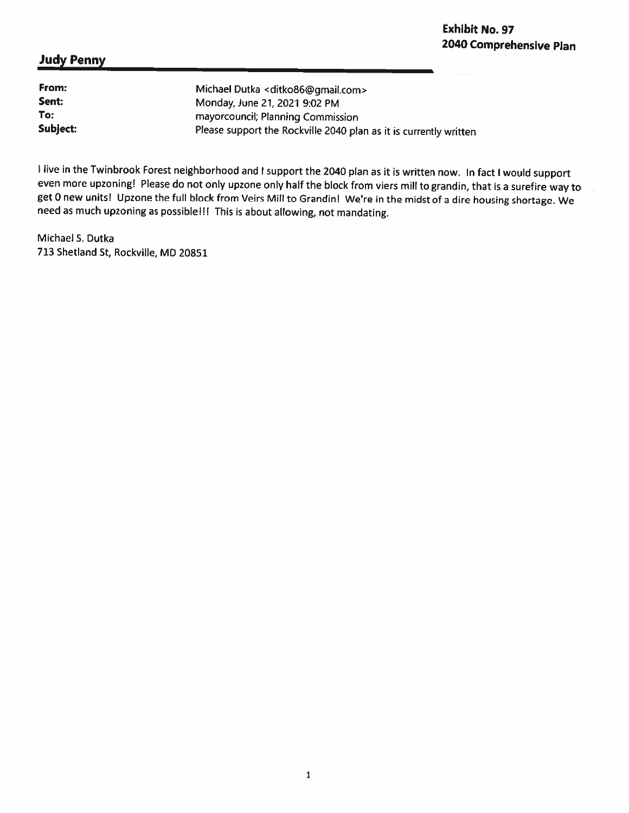| From:    | Michael Dutka < ditko86@gmail.com>                                |
|----------|-------------------------------------------------------------------|
| Sent:    | Monday, June 21, 2021 9:02 PM                                     |
| To:      | mayorcouncil; Planning Commission                                 |
| Subject: | Please support the Rockville 2040 plan as it is currently written |

I live in the Twinbrook Forest neighborhood and I support the 2040 plan as it is written now. In fact I would support even more upzoning! Please do not only upzone only half the block from viers mill to grandin, that is a surefire way to get 0 new units! Upzone the full block from Veirs Mill to Grandin! We're in the midst of a dire housing shortage. We need as much upzoning as possible!!! This is about allowing, not mandating.

Michael S. Dutka 713 Shetland St, Rockville, MD 20851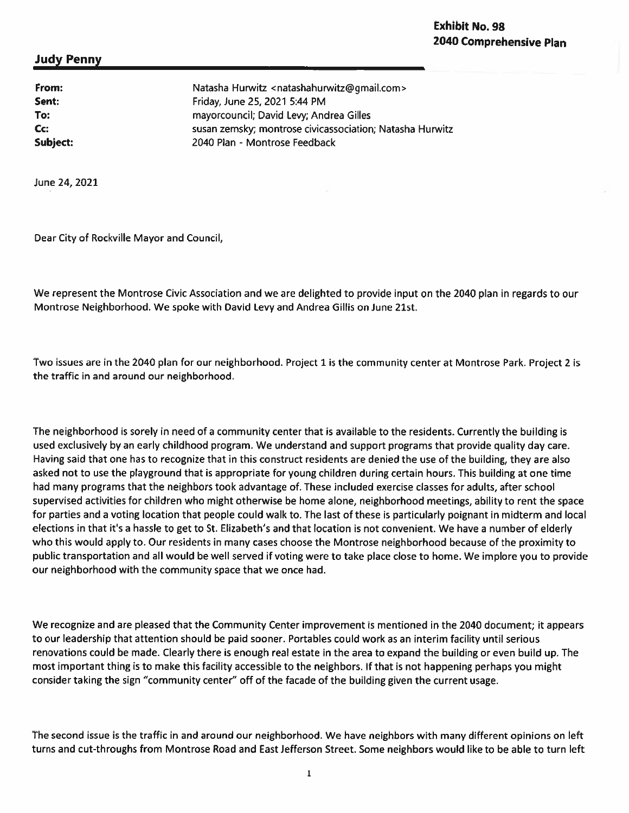# **Exhibit No. 98** 2040 Comprehensive Plan

## **Judy Penny**

Sent:

To:

Cc:

From: Natasha Hurwitz <natashahurwitz@gmail.com> Friday, June 25, 2021 5:44 PM mayorcouncil; David Levy; Andrea Gilles susan zemsky; montrose civicassociation; Natasha Hurwitz Subject: 2040 Plan - Montrose Feedback

June 24, 2021

Dear City of Rockville Mayor and Council,

We represent the Montrose Civic Association and we are delighted to provide input on the 2040 plan in regards to our Montrose Neighborhood. We spoke with David Levy and Andrea Gillis on June 21st.

Two issues are in the 2040 plan for our neighborhood. Project 1 is the community center at Montrose Park. Project 2 is the traffic in and around our neighborhood.

The neighborhood is sorely in need of a community center that is available to the residents. Currently the building is used exclusively by an early childhood program. We understand and support programs that provide quality day care. Having said that one has to recognize that in this construct residents are denied the use of the building, they are also asked not to use the playground that is appropriate for young children during certain hours. This building at one time had many programs that the neighbors took advantage of. These included exercise classes for adults, after school supervised activities for children who might otherwise be home alone, neighborhood meetings, ability to rent the space for parties and a voting location that people could walk to. The last of these is particularly poignant in midterm and local elections in that it's a hassle to get to St. Elizabeth's and that location is not convenient. We have a number of elderly who this would apply to. Our residents in many cases choose the Montrose neighborhood because of the proximity to public transportation and all would be well served if voting were to take place close to home. We implore you to provide our neighborhood with the community space that we once had.

We recognize and are pleased that the Community Center improvement is mentioned in the 2040 document; it appears to our leadership that attention should be paid sooner. Portables could work as an interim facility until serious renovations could be made. Clearly there is enough real estate in the area to expand the building or even build up. The most important thing is to make this facility accessible to the neighbors. If that is not happening perhaps you might consider taking the sign "community center" off of the facade of the building given the current usage.

The second issue is the traffic in and around our neighborhood. We have neighbors with many different opinions on left turns and cut-throughs from Montrose Road and East Jefferson Street. Some neighbors would like to be able to turn left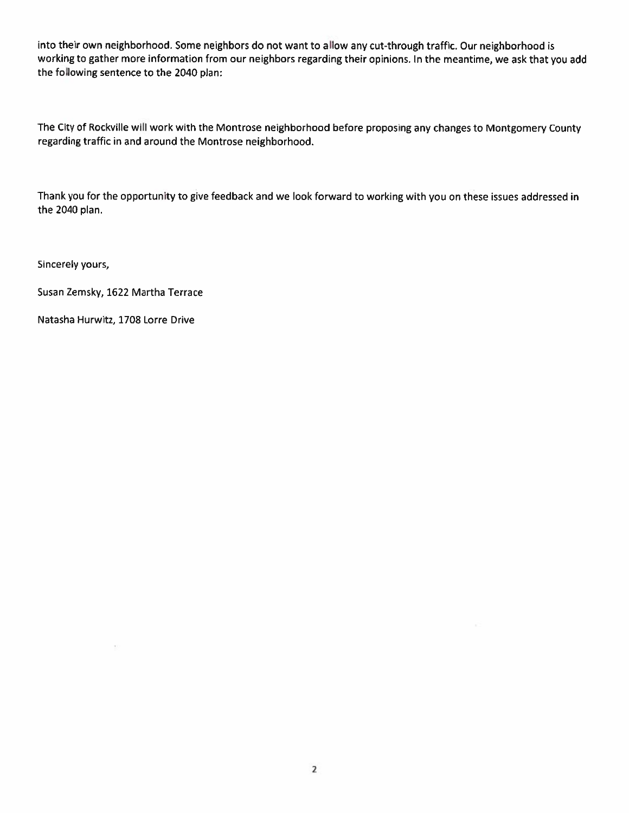into their own neighborhood. Some neighbors do not want to allow any cut-through traffic. Our neighborhood is working to gather more information from our neighbors regarding their opinions. In the meantime, we ask that you add the following sentence to the 2040 plan:

The City of Rockville will work with the Montrose neighborhood before proposing any changes to Montgomery County regarding traffic in and around the Montrose neighborhood.

Thank you for the opportunity to give feedback and we look forward to working with you on these issues addressed in the 2040 plan.

Sincerely yours,

Susan Zemsky, 1622 Martha Terrace

Natasha Hurwitz, 1708 Lorre Drive

 $\overline{\Sigma}$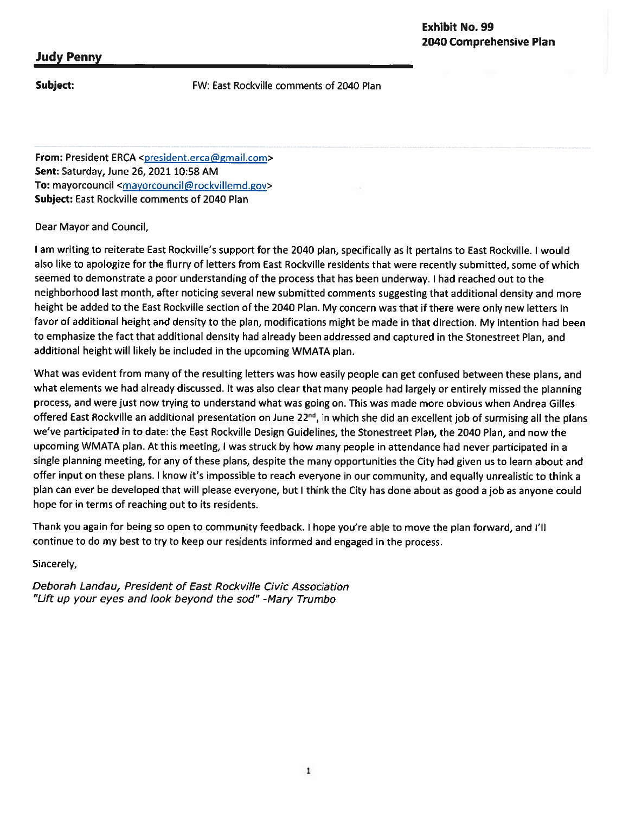## Subject:

FW: East Rockville comments of 2040 Plan

From: President ERCA <president.erca@gmail.com> Sent: Saturday, June 26, 2021 10:58 AM To: mayorcouncil <mayorcouncil@rockvillemd.gov> Subject: East Rockville comments of 2040 Plan

Dear Mayor and Council,

I am writing to reiterate East Rockville's support for the 2040 plan, specifically as it pertains to East Rockville. I would also like to apologize for the flurry of letters from East Rockville residents that were recently submitted, some of which seemed to demonstrate a poor understanding of the process that has been underway. I had reached out to the neighborhood last month, after noticing several new submitted comments suggesting that additional density and more height be added to the East Rockville section of the 2040 Plan. My concern was that if there were only new letters in favor of additional height and density to the plan, modifications might be made in that direction. My intention had been to emphasize the fact that additional density had already been addressed and captured in the Stonestreet Plan, and additional height will likely be included in the upcoming WMATA plan.

What was evident from many of the resulting letters was how easily people can get confused between these plans, and what elements we had already discussed. It was also clear that many people had largely or entirely missed the planning process, and were just now trying to understand what was going on. This was made more obvious when Andrea Gilles offered East Rockville an additional presentation on June 22<sup>nd</sup>, in which she did an excellent job of surmising all the plans we've participated in to date: the East Rockville Design Guidelines, the Stonestreet Plan, the 2040 Plan, and now the upcoming WMATA plan. At this meeting, I was struck by how many people in attendance had never participated in a single planning meeting, for any of these plans, despite the many opportunities the City had given us to learn about and offer input on these plans. I know it's impossible to reach everyone in our community, and equally unrealistic to think a plan can ever be developed that will please everyone, but I think the City has done about as good a job as anyone could hope for in terms of reaching out to its residents.

Thank you again for being so open to community feedback. I hope you're able to move the plan forward, and I'll continue to do my best to try to keep our residents informed and engaged in the process.

Sincerely,

Deborah Landau, President of East Rockville Civic Association "Lift up your eyes and look beyond the sod" -Mary Trumbo